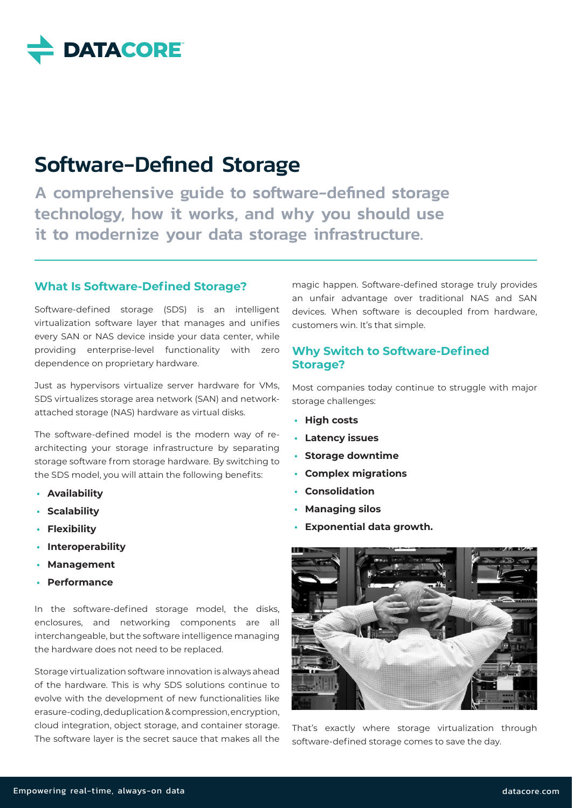

# Software-Defined Storage

A comprehensive guide to software-defined storage technology, how it works, and why you should use it to modernize your data storage infrastructure.

## **What Is Software-Defined Storage?**

Software-defined storage (SDS) is an intelligent virtualization software layer that manages and unifies every SAN or NAS device inside your data center, while providing enterprise-level functionality with zero dependence on proprietary hardware.

Just as hypervisors virtualize server hardware for VMs, SDS virtualizes storage area network (SAN) and networkattached storage (NAS) hardware as virtual disks.

The software-defined model is the modern way of rearchitecting your storage infrastructure by separating storage software from storage hardware. By switching to the SDS model, you will attain the following benefits:

- **• Availability**
- **• Scalability**
- **• Flexibility**
- **• Interoperability**
- **• Management**
- **• Performance**

In the software-defined storage model, the disks, enclosures, and networking components are all interchangeable, but the software intelligence managing the hardware does not need to be replaced.

Storage virtualization software innovation is always ahead of the hardware. This is why SDS solutions continue to evolve with the development of new functionalities like erasure-coding, deduplication & compression, encryption, cloud integration, object storage, and container storage. The software layer is the secret sauce that makes all the magic happen. Software-defined storage truly provides an unfair advantage over traditional NAS and SAN devices. When software is decoupled from hardware, customers win. It's that simple.

## **Why Switch to Software-Defined Storage?**

Most companies today continue to struggle with major storage challenges:

- **• High costs**
- **• Latency issues**
- **• Storage downtime**
- **• Complex migrations**
- **• Consolidation**
- **• Managing silos**
- **• Exponential data growth.**



That's exactly where storage virtualization through software-defined storage comes to save the day.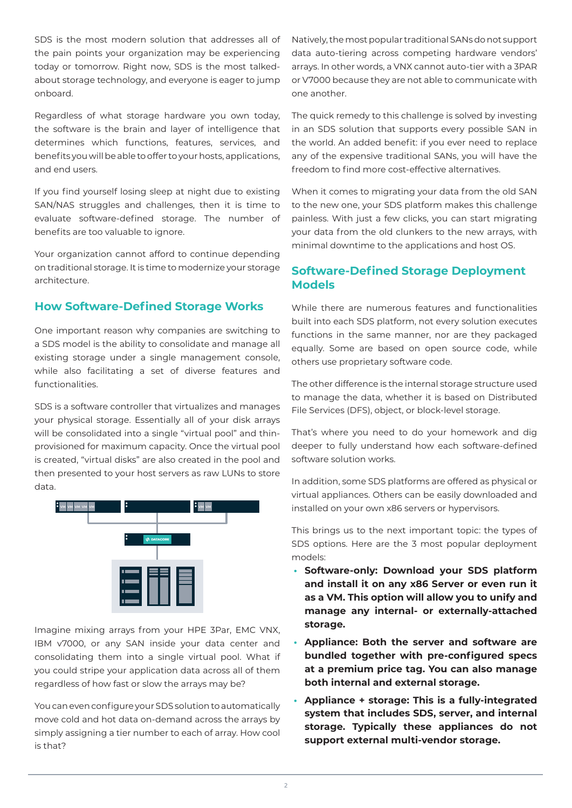SDS is the most modern solution that addresses all of the pain points your organization may be experiencing today or tomorrow. Right now, SDS is the most talkedabout storage technology, and everyone is eager to jump onboard.

Regardless of what storage hardware you own today, the software is the brain and layer of intelligence that determines which functions, features, services, and benefits you will be able to offer to your hosts, applications, and end users.

If you find yourself losing sleep at night due to existing SAN/NAS struggles and challenges, then it is time to evaluate software-defined storage. The number of benefits are too valuable to ignore.

Your organization cannot afford to continue depending on traditional storage. It is time to modernize your storage architecture.

# **How Software-Defined Storage Works**

One important reason why companies are switching to a SDS model is the ability to consolidate and manage all existing storage under a single management console, while also facilitating a set of diverse features and functionalities.

SDS is a software controller that virtualizes and manages your physical storage. Essentially all of your disk arrays will be consolidated into a single "virtual pool" and thinprovisioned for maximum capacity. Once the virtual pool is created, "virtual disks" are also created in the pool and then presented to your host servers as raw LUNs to store data.



Imagine mixing arrays from your HPE 3Par, EMC VNX, IBM v7000, or any SAN inside your data center and consolidating them into a single virtual pool. What if you could stripe your application data across all of them regardless of how fast or slow the arrays may be?

You can even configure your SDS solution to automatically move cold and hot data on-demand across the arrays by simply assigning a tier number to each of array. How cool is that?

Natively, the most popular traditional SANs do not support data auto-tiering across competing hardware vendors' arrays. In other words, a VNX cannot auto-tier with a 3PAR or V7000 because they are not able to communicate with one another.

The quick remedy to this challenge is solved by investing in an SDS solution that supports every possible SAN in the world. An added benefit: if you ever need to replace any of the expensive traditional SANs, you will have the freedom to find more cost-effective alternatives.

When it comes to migrating your data from the old SAN to the new one, your SDS platform makes this challenge painless. With just a few clicks, you can start migrating your data from the old clunkers to the new arrays, with minimal downtime to the applications and host OS.

# **Software-Defined Storage Deployment Models**

While there are numerous features and functionalities built into each SDS platform, not every solution executes functions in the same manner, nor are they packaged equally. Some are based on open source code, while others use proprietary software code.

The other difference is the internal storage structure used to manage the data, whether it is based on Distributed File Services (DFS), object, or block-level storage.

That's where you need to do your homework and dig deeper to fully understand how each software-defined software solution works.

In addition, some SDS platforms are offered as physical or virtual appliances. Others can be easily downloaded and installed on your own x86 servers or hypervisors.

This brings us to the next important topic: the types of SDS options. Here are the 3 most popular deployment models:

- **• Software-only: Download your SDS platform and install it on any x86 Server or even run it as a VM. This option will allow you to unify and manage any internal- or externally-attached storage.**
- **• Appliance: Both the server and software are bundled together with pre-configured specs at a premium price tag. You can also manage both internal and external storage.**
- **• Appliance + storage: This is a fully-integrated system that includes SDS, server, and internal storage. Typically these appliances do not support external multi-vendor storage.**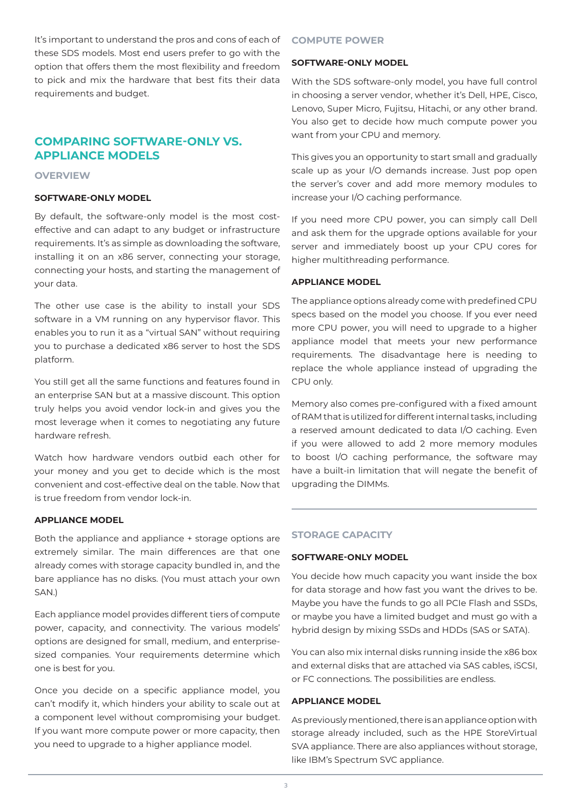It's important to understand the pros and cons of each of these SDS models. Most end users prefer to go with the option that offers them the most flexibility and freedom to pick and mix the hardware that best fits their data requirements and budget.

# **COMPARING SOFTWARE-ONLY VS. APPLIANCE MODELS**

## **OVERVIEW**

#### **SOFTWARE-ONLY MODEL**

By default, the software-only model is the most costeffective and can adapt to any budget or infrastructure requirements. It's as simple as downloading the software, installing it on an x86 server, connecting your storage, connecting your hosts, and starting the management of your data.

The other use case is the ability to install your SDS software in a VM running on any hypervisor flavor. This enables you to run it as a "virtual SAN" without requiring you to purchase a dedicated x86 server to host the SDS platform.

You still get all the same functions and features found in an enterprise SAN but at a massive discount. This option truly helps you avoid vendor lock-in and gives you the most leverage when it comes to negotiating any future hardware refresh.

Watch how hardware vendors outbid each other for your money and you get to decide which is the most convenient and cost-effective deal on the table. Now that is true freedom from vendor lock-in.

#### **APPLIANCE MODEL**

Both the appliance and appliance + storage options are extremely similar. The main differences are that one already comes with storage capacity bundled in, and the bare appliance has no disks. (You must attach your own SAN.)

Each appliance model provides different tiers of compute power, capacity, and connectivity. The various models' options are designed for small, medium, and enterprisesized companies. Your requirements determine which one is best for you.

Once you decide on a specific appliance model, you can't modify it, which hinders your ability to scale out at a component level without compromising your budget. If you want more compute power or more capacity, then you need to upgrade to a higher appliance model.

#### **COMPUTE POWER**

#### **SOFTWARE-ONLY MODEL**

With the SDS software-only model, you have full control in choosing a server vendor, whether it's Dell, HPE, Cisco, Lenovo, Super Micro, Fujitsu, Hitachi, or any other brand. You also get to decide how much compute power you want from your CPU and memory.

This gives you an opportunity to start small and gradually scale up as your I/O demands increase. Just pop open the server's cover and add more memory modules to increase your I/O caching performance.

If you need more CPU power, you can simply call Dell and ask them for the upgrade options available for your server and immediately boost up your CPU cores for higher multithreading performance.

#### **APPLIANCE MODEL**

The appliance options already come with predefined CPU specs based on the model you choose. If you ever need more CPU power, you will need to upgrade to a higher appliance model that meets your new performance requirements. The disadvantage here is needing to replace the whole appliance instead of upgrading the CPU only.

Memory also comes pre-configured with a fixed amount of RAM that is utilized for different internal tasks, including a reserved amount dedicated to data I/O caching. Even if you were allowed to add 2 more memory modules to boost I/O caching performance, the software may have a built-in limitation that will negate the benefit of upgrading the DIMMs.

#### **STORAGE CAPACITY**

#### **SOFTWARE-ONLY MODEL**

You decide how much capacity you want inside the box for data storage and how fast you want the drives to be. Maybe you have the funds to go all PCIe Flash and SSDs, or maybe you have a limited budget and must go with a hybrid design by mixing SSDs and HDDs (SAS or SATA).

You can also mix internal disks running inside the x86 box and external disks that are attached via SAS cables, iSCSI, or FC connections. The possibilities are endless.

#### **APPLIANCE MODEL**

As previously mentioned, there is an appliance option with storage already included, such as the HPE StoreVirtual SVA appliance. There are also appliances without storage, like IBM's Spectrum SVC appliance.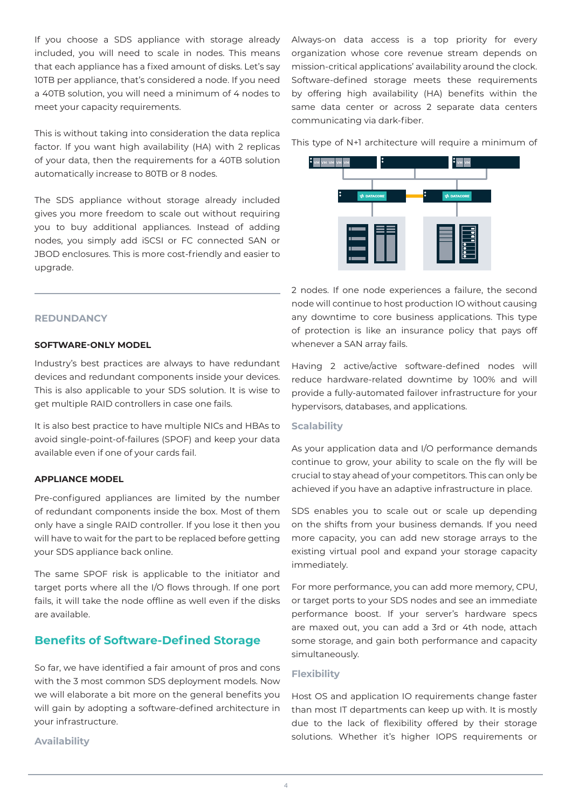If you choose a SDS appliance with storage already included, you will need to scale in nodes. This means that each appliance has a fixed amount of disks. Let's say 10TB per appliance, that's considered a node. If you need a 40TB solution, you will need a minimum of 4 nodes to meet your capacity requirements.

This is without taking into consideration the data replica factor. If you want high availability (HA) with 2 replicas of your data, then the requirements for a 40TB solution automatically increase to 80TB or 8 nodes.

The SDS appliance without storage already included gives you more freedom to scale out without requiring you to buy additional appliances. Instead of adding nodes, you simply add iSCSI or FC connected SAN or JBOD enclosures. This is more cost-friendly and easier to upgrade.

#### **REDUNDANCY**

#### **SOFTWARE-ONLY MODEL**

Industry's best practices are always to have redundant devices and redundant components inside your devices. This is also applicable to your SDS solution. It is wise to get multiple RAID controllers in case one fails.

It is also best practice to have multiple NICs and HBAs to avoid single-point-of-failures (SPOF) and keep your data available even if one of your cards fail.

#### **APPLIANCE MODEL**

Pre-configured appliances are limited by the number of redundant components inside the box. Most of them only have a single RAID controller. If you lose it then you will have to wait for the part to be replaced before getting your SDS appliance back online.

The same SPOF risk is applicable to the initiator and target ports where all the I/O flows through. If one port fails, it will take the node offline as well even if the disks are available.

# **Benefits of Software-Defined Storage**

So far, we have identified a fair amount of pros and cons with the 3 most common SDS deployment models. Now we will elaborate a bit more on the general benefits you will gain by adopting a software-defined architecture in your infrastructure.

**Availability**

Always-on data access is a top priority for every organization whose core revenue stream depends on mission-critical applications' availability around the clock. Software-defined storage meets these requirements by offering high availability (HA) benefits within the same data center or across 2 separate data centers communicating via dark-fiber.

This type of N+1 architecture will require a minimum of



2 nodes. If one node experiences a failure, the second node will continue to host production IO without causing any downtime to core business applications. This type of protection is like an insurance policy that pays off whenever a SAN array fails.

Having 2 active/active software-defined nodes will reduce hardware-related downtime by 100% and will provide a fully-automated failover infrastructure for your hypervisors, databases, and applications.

## **Scalability**

As your application data and I/O performance demands continue to grow, your ability to scale on the fly will be crucial to stay ahead of your competitors. This can only be achieved if you have an adaptive infrastructure in place.

SDS enables you to scale out or scale up depending on the shifts from your business demands. If you need more capacity, you can add new storage arrays to the existing virtual pool and expand your storage capacity immediately.

For more performance, you can add more memory, CPU, or target ports to your SDS nodes and see an immediate performance boost. If your server's hardware specs are maxed out, you can add a 3rd or 4th node, attach some storage, and gain both performance and capacity simultaneously.

#### **Flexibility**

Host OS and application IO requirements change faster than most IT departments can keep up with. It is mostly due to the lack of flexibility offered by their storage solutions. Whether it's higher IOPS requirements or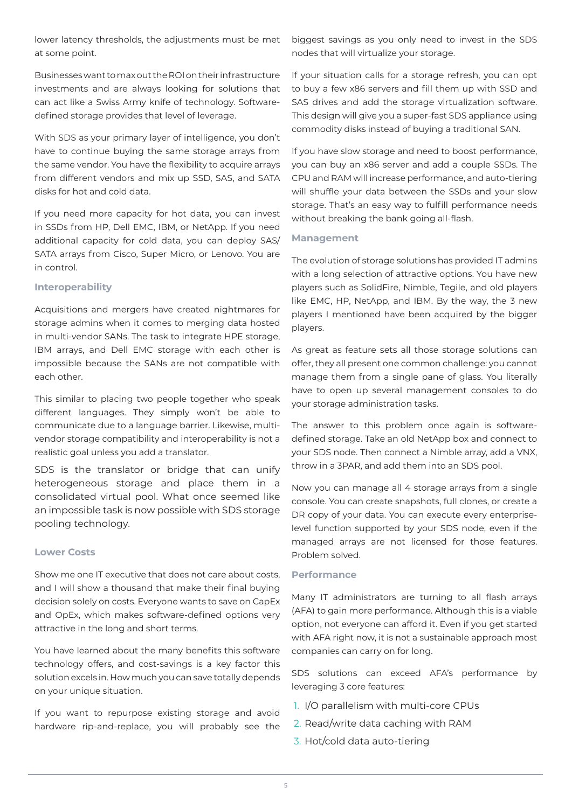lower latency thresholds, the adjustments must be met at some point.

Businesses want to max out the ROI on their infrastructure investments and are always looking for solutions that can act like a Swiss Army knife of technology. Softwaredefined storage provides that level of leverage.

With SDS as your primary layer of intelligence, you don't have to continue buying the same storage arrays from the same vendor. You have the flexibility to acquire arrays from different vendors and mix up SSD, SAS, and SATA disks for hot and cold data.

If you need more capacity for hot data, you can invest in SSDs from HP, Dell EMC, IBM, or NetApp. If you need additional capacity for cold data, you can deploy SAS/ SATA arrays from Cisco, Super Micro, or Lenovo. You are in control.

### **Interoperability**

Acquisitions and mergers have created nightmares for storage admins when it comes to merging data hosted in multi-vendor SANs. The task to integrate HPE storage, IBM arrays, and Dell EMC storage with each other is impossible because the SANs are not compatible with each other.

This similar to placing two people together who speak different languages. They simply won't be able to communicate due to a language barrier. Likewise, multivendor storage compatibility and interoperability is not a realistic goal unless you add a translator.

SDS is the translator or bridge that can unify heterogeneous storage and place them in a consolidated virtual pool. What once seemed like an impossible task is now possible with SDS storage pooling technology.

## **Lower Costs**

Show me one IT executive that does not care about costs, and I will show a thousand that make their final buying decision solely on costs. Everyone wants to save on CapEx and OpEx, which makes software-defined options very attractive in the long and short terms.

You have learned about the many benefits this software technology offers, and cost-savings is a key factor this solution excels in. How much you can save totally depends on your unique situation.

If you want to repurpose existing storage and avoid hardware rip-and-replace, you will probably see the biggest savings as you only need to invest in the SDS nodes that will virtualize your storage.

If your situation calls for a storage refresh, you can opt to buy a few x86 servers and fill them up with SSD and SAS drives and add the storage virtualization software. This design will give you a super-fast SDS appliance using commodity disks instead of buying a traditional SAN.

If you have slow storage and need to boost performance, you can buy an x86 server and add a couple SSDs. The CPU and RAM will increase performance, and auto-tiering will shuffle your data between the SSDs and your slow storage. That's an easy way to fulfill performance needs without breaking the bank going all-flash.

### **Management**

The evolution of storage solutions has provided IT admins with a long selection of attractive options. You have new players such as SolidFire, Nimble, Tegile, and old players like EMC, HP, NetApp, and IBM. By the way, the 3 new players I mentioned have been acquired by the bigger players.

As great as feature sets all those storage solutions can offer, they all present one common challenge: you cannot manage them from a single pane of glass. You literally have to open up several management consoles to do your storage administration tasks.

The answer to this problem once again is softwaredefined storage. Take an old NetApp box and connect to your SDS node. Then connect a Nimble array, add a VNX, throw in a 3PAR, and add them into an SDS pool.

Now you can manage all 4 storage arrays from a single console. You can create snapshots, full clones, or create a DR copy of your data. You can execute every enterpriselevel function supported by your SDS node, even if the managed arrays are not licensed for those features. Problem solved.

#### **Performance**

Many IT administrators are turning to all flash arrays (AFA) to gain more performance. Although this is a viable option, not everyone can afford it. Even if you get started with AFA right now, it is not a sustainable approach most companies can carry on for long.

SDS solutions can exceed AFA's performance by leveraging 3 core features:

- 1. I/O parallelism with multi-core CPUs
- 2. Read/write data caching with RAM
- 3. Hot/cold data auto-tiering